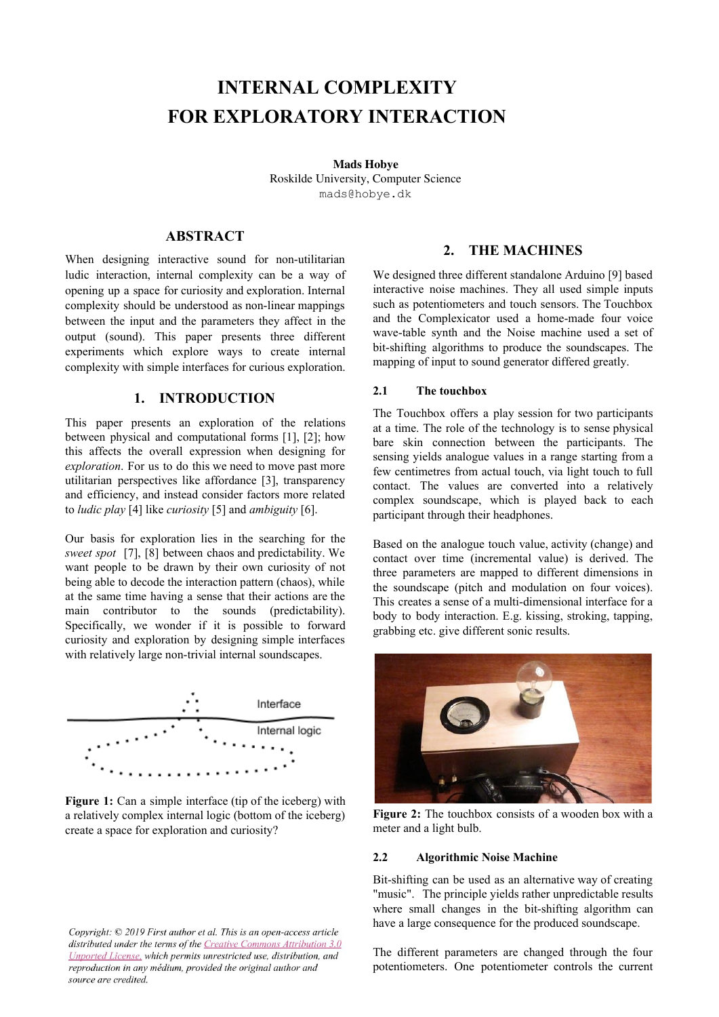# **INTERNAL COMPLEXITY FOR EXPLORATORY INTERACTION**

**Mads Hobye** Roskilde University, Computer Science [mads@hobye.dk](mailto:mads@hobye.dk)

# **ABSTRACT**

When designing interactive sound for non-utilitarian ludic interaction, internal complexity can be a way of opening up a space for curiosity and exploration. Internal complexity should be understood as non-linear mappings between the input and the parameters they affect in the output (sound). This paper presents three different experiments which explore ways to create internal complexity with simple interfaces for curious exploration.

## **1. INTRODUCTION**

This paper presents an exploration of the relations between physical and computational forms [\[1\],](https://paperpile.com/c/plwA5B/msQs+5vzv) [2]; how this affects the overall expression when designing for *exploration*. For us to do this we need to move past more utilitarian perspectives like affordance [\[3\]](https://paperpile.com/c/plwA5B/Onzk), transparency and efficiency, and instead consider factors more related to *ludic play* [\[4\]](https://paperpile.com/c/plwA5B/lYwv) like *curiosity* [\[5\]](https://paperpile.com/c/plwA5B/Y3dH) and *ambiguity* [\[6\]](https://paperpile.com/c/plwA5B/rYQH).

Our basis for exploration lies in the searching for the *sweet spot* [\[7\],](https://paperpile.com/c/plwA5B/Fp55+jw9u) [8] between chaos and predictability. We want people to be drawn by their own curiosity of not being able to decode the interaction pattern (chaos), while at the same time having a sense that their actions are the main contributor to the sounds (predictability). Specifically, we wonder if it is possible to forward curiosity and exploration by designing simple interfaces with relatively large non-trivial internal soundscapes.



**Figure 1:** Can a simple interface (tip of the iceberg) with a relatively complex internal logic (bottom of the iceberg) create a space for exploration and curiosity?

#### Copyright: © 2019 First author et al. This is an open-access article distributed under the terms of the Creative Commons Attribution 3.0 Unported License, which permits unrestricted use, distribution, and reproduction in any médium, provided the original author and source are credited.

## **2. THE MACHINES**

We designed three different standalone Arduino [\[9\]](https://paperpile.com/c/plwA5B/MTET) based interactive noise machines. They all used simple inputs such as potentiometers and touch sensors. The Touchbox and the Complexicator used a home-made four voice wave-table synth and the Noise machine used a set of bit-shifting algorithms to produce the soundscapes. The mapping of input to sound generator differed greatly.

### **2.1 The touchbox**

The Touchbox offers a play session for two participants at a time. The role of the technology is to sense physical bare skin connection between the participants. The sensing yields analogue values in a range starting from a few centimetres from actual touch, via light touch to full contact. The values are converted into a relatively complex soundscape, which is played back to each participant through their headphones.

Based on the analogue touch value, activity (change) and contact over time (incremental value) is derived. The three parameters are mapped to different dimensions in the soundscape (pitch and modulation on four voices). This creates a sense of a multi-dimensional interface for a body to body interaction. E.g. kissing, stroking, tapping, grabbing etc. give different sonic results.



**Figure 2:** The touchbox consists of a wooden box with a meter and a light bulb.

#### **2.2 Algorithmic Noise Machine**

Bit-shifting can be used as an alternative way of creating "music". The principle yields rather unpredictable results where small changes in the bit-shifting algorithm can have a large consequence for the produced soundscape.

The different parameters are changed through the four potentiometers. One potentiometer controls the current